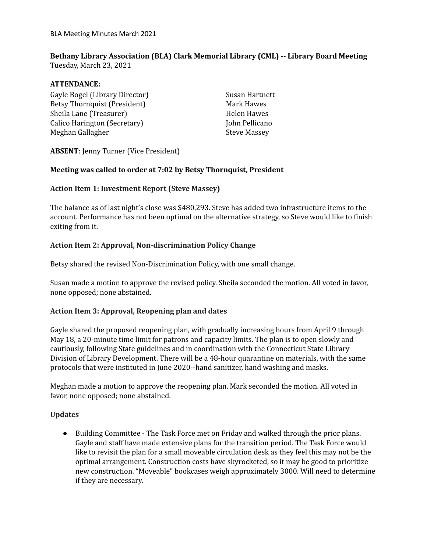# **Bethany Library Association (BLA) Clark Memorial Library (CML) -- Library Board Meeting**

Tuesday, March 23, 2021

# **ATTENDANCE:**

Gayle Bogel (Library Director) Betsy Thornquist (President) Sheila Lane (Treasurer) Calico Harington (Secretary) Meghan Gallagher

Susan Hartnett Mark Hawes Helen Hawes John Pellicano Steve Massey

# **ABSENT**: Jenny Turner (Vice President)

#### **Meeting was called to order at 7:02 by Betsy Thornquist, President**

#### **Action Item 1: Investment Report (Steve Massey)**

The balance as of last night's close was \$480,293. Steve has added two infrastructure items to the account. Performance has not been optimal on the alternative strategy, so Steve would like to finish exiting from it.

# **Action Item 2: Approval, Non-discrimination Policy Change**

Betsy shared the revised Non-Discrimination Policy, with one small change.

Susan made a motion to approve the revised policy. Sheila seconded the motion. All voted in favor, none opposed; none abstained.

# **Action Item 3: Approval, Reopening plan and dates**

Gayle shared the proposed reopening plan, with gradually increasing hours from April 9 through May 18, a 20-minute time limit for patrons and capacity limits. The plan is to open slowly and cautiously, following State guidelines and in coordination with the Connecticut State Library Division of Library Development. There will be a 48-hour quarantine on materials, with the same protocols that were instituted in June 2020--hand sanitizer, hand washing and masks.

Meghan made a motion to approve the reopening plan. Mark seconded the motion. All voted in favor, none opposed; none abstained.

#### **Updates**

● Building Committee - The Task Force met on Friday and walked through the prior plans. Gayle and staff have made extensive plans for the transition period. The Task Force would like to revisit the plan for a small moveable circulation desk as they feel this may not be the optimal arrangement. Construction costs have skyrocketed, so it may be good to prioritize new construction. "Moveable" bookcases weigh approximately 3000. Will need to determine if they are necessary.